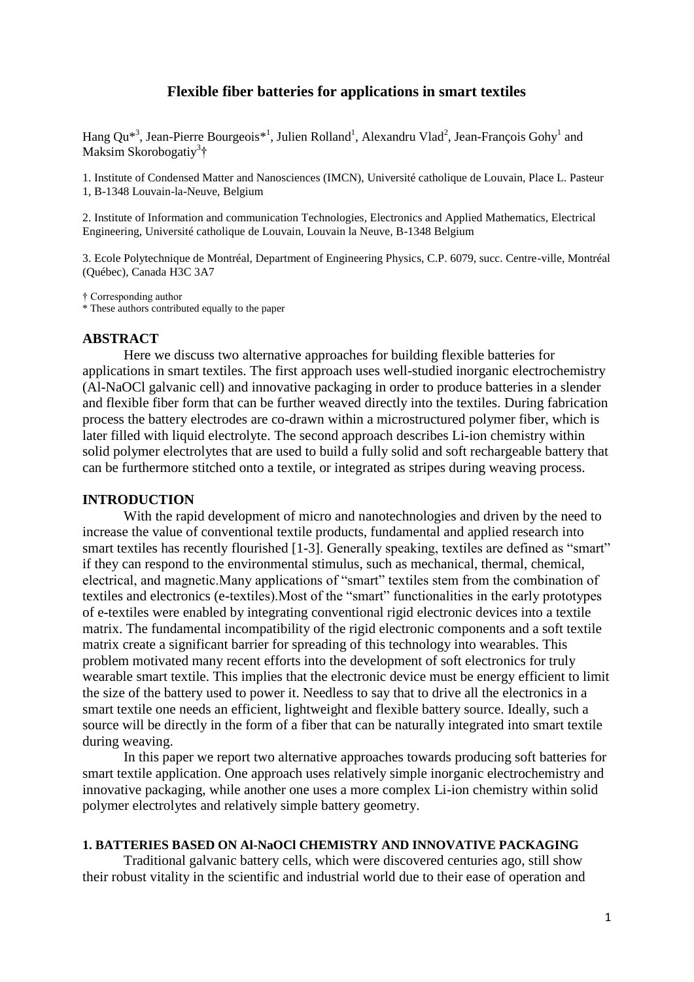## **Flexible fiber batteries for applications in smart textiles**

Hang Qu<sup>\*3</sup>, Jean-Pierre Bourgeois<sup>\*1</sup>, Julien Rolland<sup>1</sup>, Alexandru Vlad<sup>2</sup>, Jean-François Gohy<sup>1</sup> and Maksim Skorobogatiy<sup>3</sup>†

1. Institute of Condensed Matter and Nanosciences (IMCN), Université catholique de Louvain, Place L. Pasteur 1, B-1348 Louvain-la-Neuve, Belgium

2. Institute of Information and communication Technologies, Electronics and Applied Mathematics, Electrical Engineering, Université catholique de Louvain, Louvain la Neuve, B-1348 Belgium

3. Ecole Polytechnique de Montréal, Department of Engineering Physics, C.P. 6079, succ. Centre-ville, Montréal (Québec), Canada H3C 3A7

† Corresponding author

\* These authors contributed equally to the paper

## **ABSTRACT**

Here we discuss two alternative approaches for building flexible batteries for applications in smart textiles. The first approach uses well-studied inorganic electrochemistry (Al-NaOCl galvanic cell) and innovative packaging in order to produce batteries in a slender and flexible fiber form that can be further weaved directly into the textiles. During fabrication process the battery electrodes are co-drawn within a microstructured polymer fiber, which is later filled with liquid electrolyte. The second approach describes Li-ion chemistry within solid polymer electrolytes that are used to build a fully solid and soft rechargeable battery that can be furthermore stitched onto a textile, or integrated as stripes during weaving process.

#### **INTRODUCTION**

With the rapid development of micro and nanotechnologies and driven by the need to increase the value of conventional textile products, fundamental and applied research into smart textiles has recently flourished [1-3]. Generally speaking, textiles are defined as "smart" if they can respond to the environmental stimulus, such as mechanical, thermal, chemical, electrical, and magnetic.Many applications of "smart" textiles stem from the combination of textiles and electronics (e-textiles).Most of the "smart" functionalities in the early prototypes of e-textiles were enabled by integrating conventional rigid electronic devices into a textile matrix. The fundamental incompatibility of the rigid electronic components and a soft textile matrix create a significant barrier for spreading of this technology into wearables. This problem motivated many recent efforts into the development of soft electronics for truly wearable smart textile. This implies that the electronic device must be energy efficient to limit the size of the battery used to power it. Needless to say that to drive all the electronics in a smart textile one needs an efficient, lightweight and flexible battery source. Ideally, such a source will be directly in the form of a fiber that can be naturally integrated into smart textile during weaving.

In this paper we report two alternative approaches towards producing soft batteries for smart textile application. One approach uses relatively simple inorganic electrochemistry and innovative packaging, while another one uses a more complex Li-ion chemistry within solid polymer electrolytes and relatively simple battery geometry.

### **1. BATTERIES BASED ON Al-NaOCl CHEMISTRY AND INNOVATIVE PACKAGING**

Traditional galvanic battery cells, which were discovered centuries ago, still show their robust vitality in the scientific and industrial world due to their ease of operation and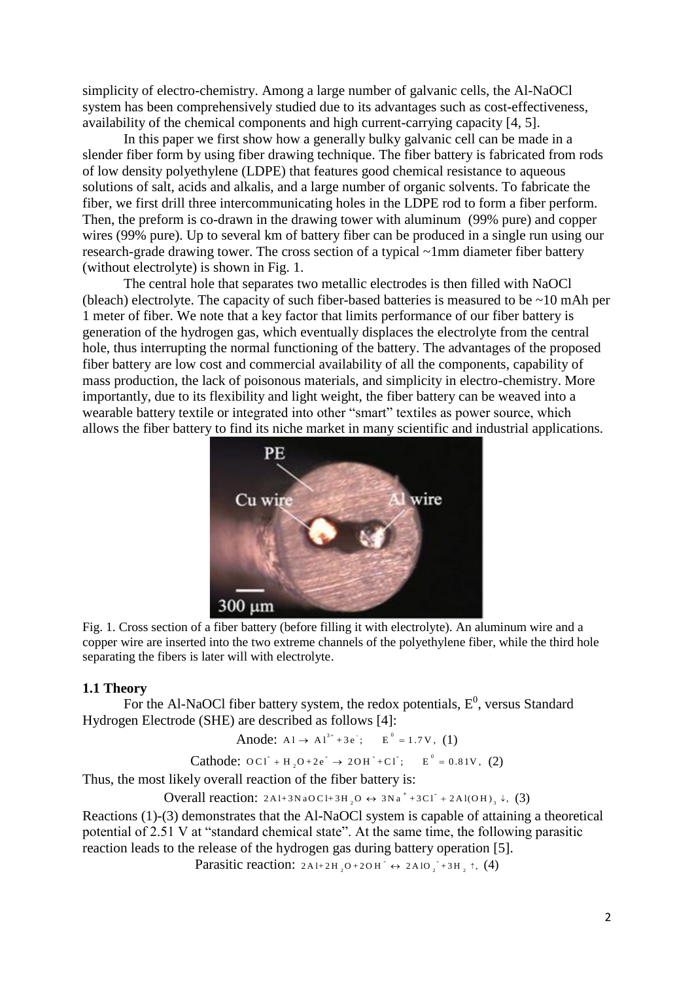simplicity of electro-chemistry. Among a large number of galvanic cells, the Al-NaOCl system has been comprehensively studied due to its advantages such as cost-effectiveness, availability of the chemical components and high current-carrying capacity [4, 5].

In this paper we first show how a generally bulky galvanic cell can be made in a slender fiber form by using fiber drawing technique. The fiber battery is fabricated from rods of low density polyethylene (LDPE) that features good chemical resistance to aqueous solutions of salt, acids and alkalis, and a large number of organic solvents. To fabricate the fiber, we first drill three intercommunicating holes in the LDPE rod to form a fiber perform. Then, the preform is co-drawn in the drawing tower with aluminum (99% pure) and copper wires (99% pure). Up to several km of battery fiber can be produced in a single run using our research-grade drawing tower. The cross section of a typical ~1mm diameter fiber battery (without electrolyte) is shown in Fig. 1.

The central hole that separates two metallic electrodes is then filled with NaOCl (bleach) electrolyte. The capacity of such fiber-based batteries is measured to be ~10 mAh per 1 meter of fiber. We note that a key factor that limits performance of our fiber battery is generation of the hydrogen gas, which eventually displaces the electrolyte from the central hole, thus interrupting the normal functioning of the battery. The advantages of the proposed fiber battery are low cost and commercial availability of all the components, capability of mass production, the lack of poisonous materials, and simplicity in electro-chemistry. More importantly, due to its flexibility and light weight, the fiber battery can be weaved into a wearable battery textile or integrated into other "smart" textiles as power source, which allows the fiber battery to find its niche market in many scientific and industrial applications.



Fig. 1. Cross section of a fiber battery (before filling it with electrolyte). An aluminum wire and a copper wire are inserted into the two extreme channels of the polyethylene fiber, while the third hole separating the fibers is later will with electrolyte.

### **1.1 Theory**

For the Al-NaOCl fiber battery system, the redox potentials,  $E^0$ , versus Standard Hydrogen Electrode (SHE) are described as follows [4]:

```
Anode: A1 \rightarrow A1^{3+} + 3e; E^{0} = 1.7V, (1)
```
Cathode:  $OCI + H_2O + 2e^- \rightarrow 2OH^- + Cl^-$ ;  $E^0$  $\overline{OC1} + H_2O + 2e^+ \rightarrow 2OH^+ + Cl^+;$   $E^0 = 0.81V, (2)$ 

Thus, the most likely overall reaction of the fiber battery is:

Overall reaction:  $2AI+3NaOCI+3H_2O \leftrightarrow 3Na^+ + 3CI^+ + 2AI(OH)_3 \downarrow$ , (3)

Reactions (1)-(3) demonstrates that the Al-NaOCl system is capable of attaining a theoretical potential of 2.51 V at "standard chemical state". At the same time, the following parasitic reaction leads to the release of the hydrogen gas during battery operation [5].

Parasitic reaction:  $2A1+2H_2O+2OH \leftrightarrow 2A1O_2+3H_2$ ; (4)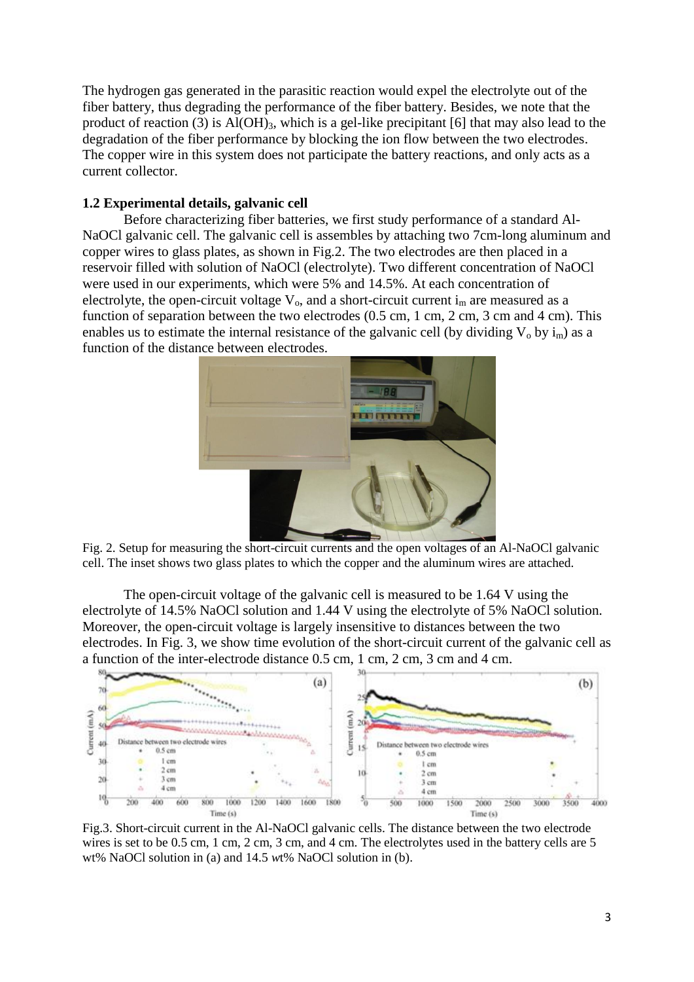The hydrogen gas generated in the parasitic reaction would expel the electrolyte out of the fiber battery, thus degrading the performance of the fiber battery. Besides, we note that the product of reaction (3) is  $Al(OH)_{3}$ , which is a gel-like precipitant [6] that may also lead to the degradation of the fiber performance by blocking the ion flow between the two electrodes. The copper wire in this system does not participate the battery reactions, and only acts as a current collector.

# **1.2 Experimental details, galvanic cell**

Before characterizing fiber batteries, we first study performance of a standard Al-NaOCl galvanic cell. The galvanic cell is assembles by attaching two 7cm-long aluminum and copper wires to glass plates, as shown in Fig.2. The two electrodes are then placed in a reservoir filled with solution of NaOCl (electrolyte). Two different concentration of NaOCl were used in our experiments, which were 5% and 14.5%. At each concentration of electrolyte, the open-circuit voltage  $V_0$ , and a short-circuit current  $i_m$  are measured as a function of separation between the two electrodes (0.5 cm, 1 cm, 2 cm, 3 cm and 4 cm). This enables us to estimate the internal resistance of the galvanic cell (by dividing  $V_0$  by  $i_m$ ) as a function of the distance between electrodes.



Fig. 2. Setup for measuring the short-circuit currents and the open voltages of an Al-NaOCl galvanic cell. The inset shows two glass plates to which the copper and the aluminum wires are attached.

The open-circuit voltage of the galvanic cell is measured to be 1.64 V using the electrolyte of 14.5% NaOCl solution and 1.44 V using the electrolyte of 5% NaOCl solution. Moreover, the open-circuit voltage is largely insensitive to distances between the two electrodes. In Fig. 3, we show time evolution of the short-circuit current of the galvanic cell as a function of the inter-electrode distance 0.5 cm, 1 cm, 2 cm, 3 cm and 4 cm.



Fig.3. Short-circuit current in the Al-NaOCl galvanic cells. The distance between the two electrode wires is set to be 0.5 cm, 1 cm, 2 cm, 3 cm, and 4 cm. The electrolytes used in the battery cells are 5 wt% NaOCl solution in (a) and 14.5 *w*t% NaOCl solution in (b).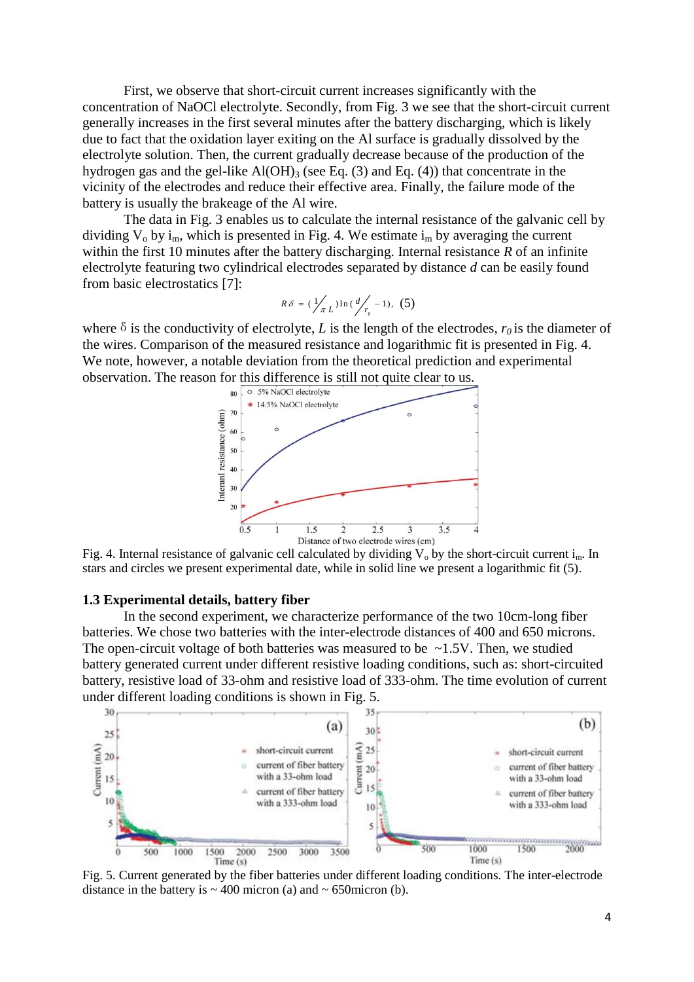First, we observe that short-circuit current increases significantly with the concentration of NaOCl electrolyte. Secondly, from Fig. 3 we see that the short-circuit current generally increases in the first several minutes after the battery discharging, which is likely due to fact that the oxidation layer exiting on the Al surface is gradually dissolved by the electrolyte solution. Then, the current gradually decrease because of the production of the hydrogen gas and the gel-like  $Al(OH)_{3}$  (see Eq. (3) and Eq. (4)) that concentrate in the vicinity of the electrodes and reduce their effective area. Finally, the failure mode of the battery is usually the brakeage of the Al wire.

The data in Fig. 3 enables us to calculate the internal resistance of the galvanic cell by dividing  $V_0$  by  $i_m$ , which is presented in Fig. 4. We estimate  $i_m$  by averaging the current within the first 10 minutes after the battery discharging. Internal resistance *R* of an infinite electrolyte featuring two cylindrical electrodes separated by distance *d* can be easily found from basic electrostatics [7]:

$$
R\delta = (\frac{1}{\pi} \int_{L} \ln(\frac{d}{r_0} - 1), (5)
$$

where  $\delta$  is the conductivity of electrolyte, *L* is the length of the electrodes,  $r_0$  is the diameter of the wires. Comparison of the measured resistance and logarithmic fit is presented in Fig. 4. We note, however, a notable deviation from the theoretical prediction and experimental observation. The reason for this difference is still not quite clear to us.



Fig. 4. Internal resistance of galvanic cell calculated by dividing  $V_0$  by the short-circuit current i<sub>m</sub>. In stars and circles we present experimental date, while in solid line we present a logarithmic fit (5).

### **1.3 Experimental details, battery fiber**

In the second experiment, we characterize performance of the two 10cm-long fiber batteries. We chose two batteries with the inter-electrode distances of 400 and 650 microns. The open-circuit voltage of both batteries was measured to be  $\sim$ 1.5V. Then, we studied battery generated current under different resistive loading conditions, such as: short-circuited battery, resistive load of 33-ohm and resistive load of 333-ohm. The time evolution of current under different loading conditions is shown in Fig. 5.



Fig. 5. Current generated by the fiber batteries under different loading conditions. The inter-electrode distance in the battery is  $\sim$  400 micron (a) and  $\sim$  650 micron (b).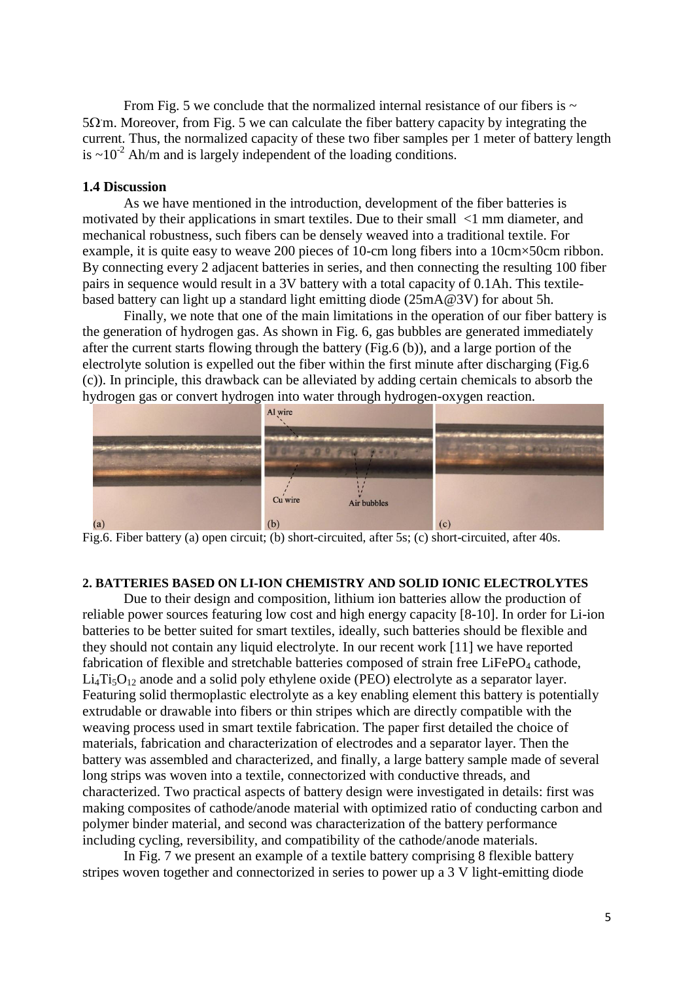From Fig. 5 we conclude that the normalized internal resistance of our fibers is  $\sim$  $5\Omega$  m. Moreover, from Fig. 5 we can calculate the fiber battery capacity by integrating the current. Thus, the normalized capacity of these two fiber samples per 1 meter of battery length is  $\sim 10^{-2}$  Ah/m and is largely independent of the loading conditions.

## **1.4 Discussion**

As we have mentioned in the introduction, development of the fiber batteries is motivated by their applications in smart textiles. Due to their small <1 mm diameter, and mechanical robustness, such fibers can be densely weaved into a traditional textile. For example, it is quite easy to weave 200 pieces of 10-cm long fibers into a 10cm×50cm ribbon. By connecting every 2 adjacent batteries in series, and then connecting the resulting 100 fiber pairs in sequence would result in a 3V battery with a total capacity of 0.1Ah. This textilebased battery can light up a standard light emitting diode (25mA@3V) for about 5h.

Finally, we note that one of the main limitations in the operation of our fiber battery is the generation of hydrogen gas. As shown in Fig. 6, gas bubbles are generated immediately after the current starts flowing through the battery (Fig.6 (b)), and a large portion of the electrolyte solution is expelled out the fiber within the first minute after discharging (Fig.6 (c)). In principle, this drawback can be alleviated by adding certain chemicals to absorb the hydrogen gas or convert hydrogen into water through hydrogen-oxygen reaction.



Fig.6. Fiber battery (a) open circuit; (b) short-circuited, after 5s; (c) short-circuited, after 40s.

## **2. BATTERIES BASED ON LI-ION CHEMISTRY AND SOLID IONIC ELECTROLYTES**

Due to their design and composition, lithium ion batteries allow the production of reliable power sources featuring low cost and high energy capacity [8-10]. In order for Li-ion batteries to be better suited for smart textiles, ideally, such batteries should be flexible and they should not contain any liquid electrolyte. In our recent work [11] we have reported fabrication of flexible and stretchable batteries composed of strain free LiFePO<sub>4</sub> cathode,  $Li<sub>4</sub>Ti<sub>5</sub>O<sub>12</sub>$  anode and a solid poly ethylene oxide (PEO) electrolyte as a separator layer. Featuring solid thermoplastic electrolyte as a key enabling element this battery is potentially extrudable or drawable into fibers or thin stripes which are directly compatible with the weaving process used in smart textile fabrication. The paper first detailed the choice of materials, fabrication and characterization of electrodes and a separator layer. Then the battery was assembled and characterized, and finally, a large battery sample made of several long strips was woven into a textile, connectorized with conductive threads, and characterized. Two practical aspects of battery design were investigated in details: first was making composites of cathode/anode material with optimized ratio of conducting carbon and polymer binder material, and second was characterization of the battery performance including cycling, reversibility, and compatibility of the cathode/anode materials.

In Fig. 7 we present an example of a textile battery comprising 8 flexible battery stripes woven together and connectorized in series to power up a 3 V light-emitting diode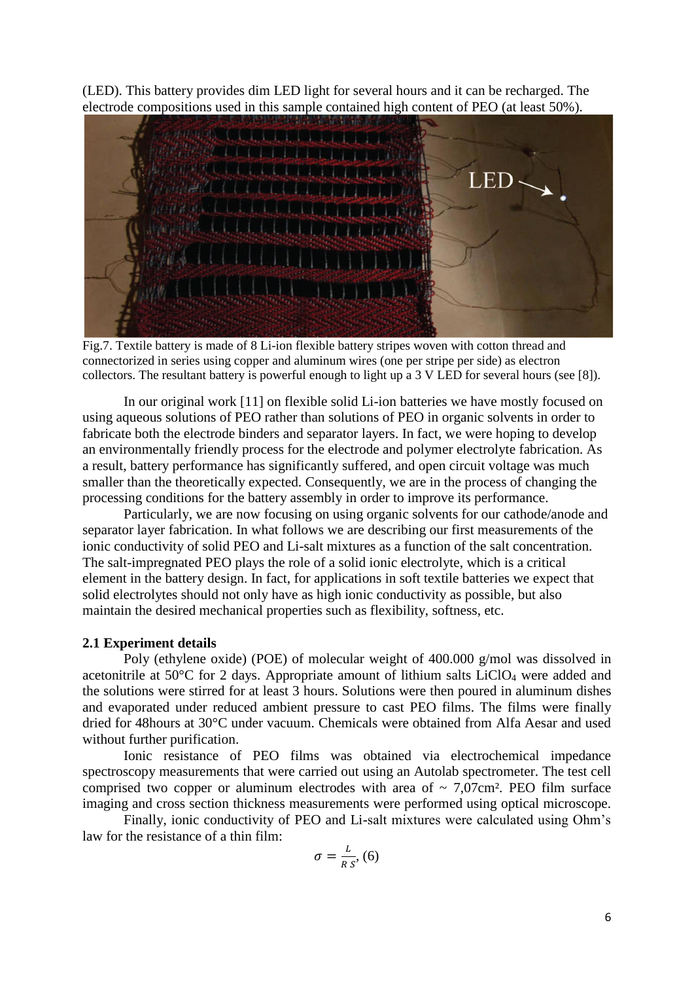(LED). This battery provides dim LED light for several hours and it can be recharged. The electrode compositions used in this sample contained high content of PEO (at least 50%).



Fig.7. Textile battery is made of 8 Li-ion flexible battery stripes woven with cotton thread and connectorized in series using copper and aluminum wires (one per stripe per side) as electron collectors. The resultant battery is powerful enough to light up a 3 V LED for several hours (see [8]).

In our original work [11] on flexible solid Li-ion batteries we have mostly focused on using aqueous solutions of PEO rather than solutions of PEO in organic solvents in order to fabricate both the electrode binders and separator layers. In fact, we were hoping to develop an environmentally friendly process for the electrode and polymer electrolyte fabrication. As a result, battery performance has significantly suffered, and open circuit voltage was much smaller than the theoretically expected. Consequently, we are in the process of changing the processing conditions for the battery assembly in order to improve its performance.

Particularly, we are now focusing on using organic solvents for our cathode/anode and separator layer fabrication. In what follows we are describing our first measurements of the ionic conductivity of solid PEO and Li-salt mixtures as a function of the salt concentration. The salt-impregnated PEO plays the role of a solid ionic electrolyte, which is a critical element in the battery design. In fact, for applications in soft textile batteries we expect that solid electrolytes should not only have as high ionic conductivity as possible, but also maintain the desired mechanical properties such as flexibility, softness, etc.

### **2.1 Experiment details**

Poly (ethylene oxide) (POE) of molecular weight of 400.000 g/mol was dissolved in acetonitrile at 50 $\degree$ C for 2 days. Appropriate amount of lithium salts LiClO<sub>4</sub> were added and the solutions were stirred for at least 3 hours. Solutions were then poured in aluminum dishes and evaporated under reduced ambient pressure to cast PEO films. The films were finally dried for 48hours at 30°C under vacuum. Chemicals were obtained from Alfa Aesar and used without further purification.

Ionic resistance of PEO films was obtained via electrochemical impedance spectroscopy measurements that were carried out using an Autolab spectrometer. The test cell comprised two copper or aluminum electrodes with area of  $\sim 7.07 \text{cm}^2$ . PEO film surface imaging and cross section thickness measurements were performed using optical microscope.

Finally, ionic conductivity of PEO and Li-salt mixtures were calculated using Ohm's law for the resistance of a thin film:

$$
\sigma = \frac{L}{R \, s}, \, (6)
$$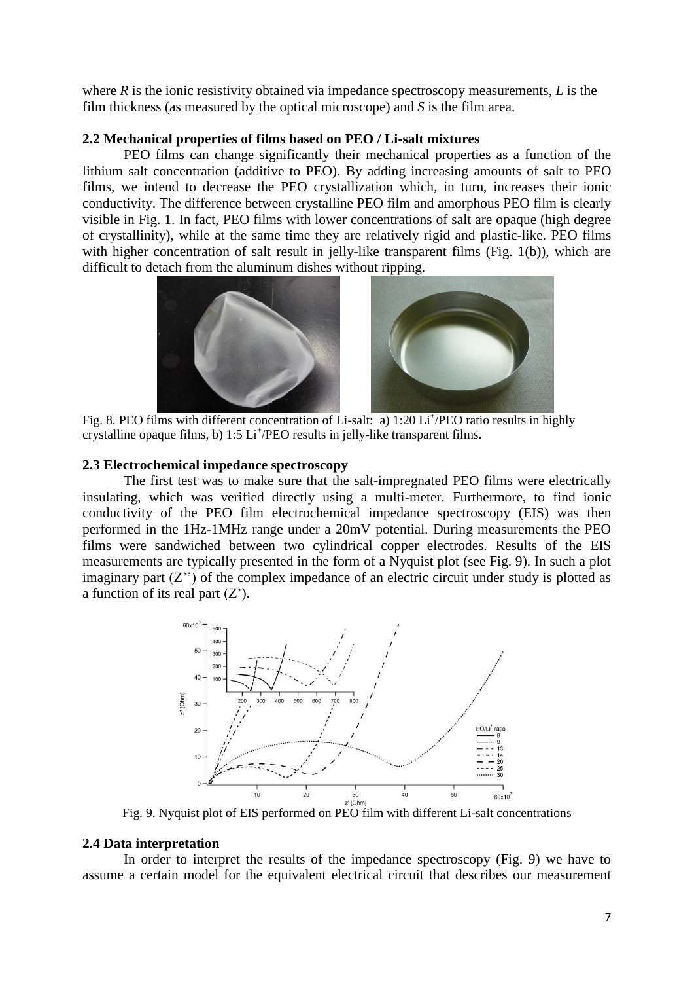where *R* is the ionic resistivity obtained via impedance spectroscopy measurements, *L* is the film thickness (as measured by the optical microscope) and *S* is the film area.

## **2.2 Mechanical properties of films based on PEO / Li-salt mixtures**

PEO films can change significantly their mechanical properties as a function of the lithium salt concentration (additive to PEO). By adding increasing amounts of salt to PEO films, we intend to decrease the PEO crystallization which, in turn, increases their ionic conductivity. The difference between crystalline PEO film and amorphous PEO film is clearly visible in Fig. 1. In fact, PEO films with lower concentrations of salt are opaque (high degree of crystallinity), while at the same time they are relatively rigid and plastic-like. PEO films with higher concentration of salt result in jelly-like transparent films (Fig. 1(b)), which are difficult to detach from the aluminum dishes without ripping.



Fig. 8. PEO films with different concentration of Li-salt: a) 1:20 Li<sup>+</sup>/PEO ratio results in highly crystalline opaque films, b) 1:5 Li<sup>+</sup>/PEO results in jelly-like transparent films.

### **2.3 Electrochemical impedance spectroscopy**

The first test was to make sure that the salt-impregnated PEO films were electrically insulating, which was verified directly using a multi-meter. Furthermore, to find ionic conductivity of the PEO film electrochemical impedance spectroscopy (EIS) was then performed in the 1Hz-1MHz range under a 20mV potential. During measurements the PEO films were sandwiched between two cylindrical copper electrodes. Results of the EIS measurements are typically presented in the form of a Nyquist plot (see Fig. 9). In such a plot imaginary part  $(Z'')$  of the complex impedance of an electric circuit under study is plotted as a function of its real part  $(Z')$ .



Fig. 9. Nyquist plot of EIS performed on PEO film with different Li-salt concentrations

### **2.4 Data interpretation**

In order to interpret the results of the impedance spectroscopy (Fig. 9) we have to assume a certain model for the equivalent electrical circuit that describes our measurement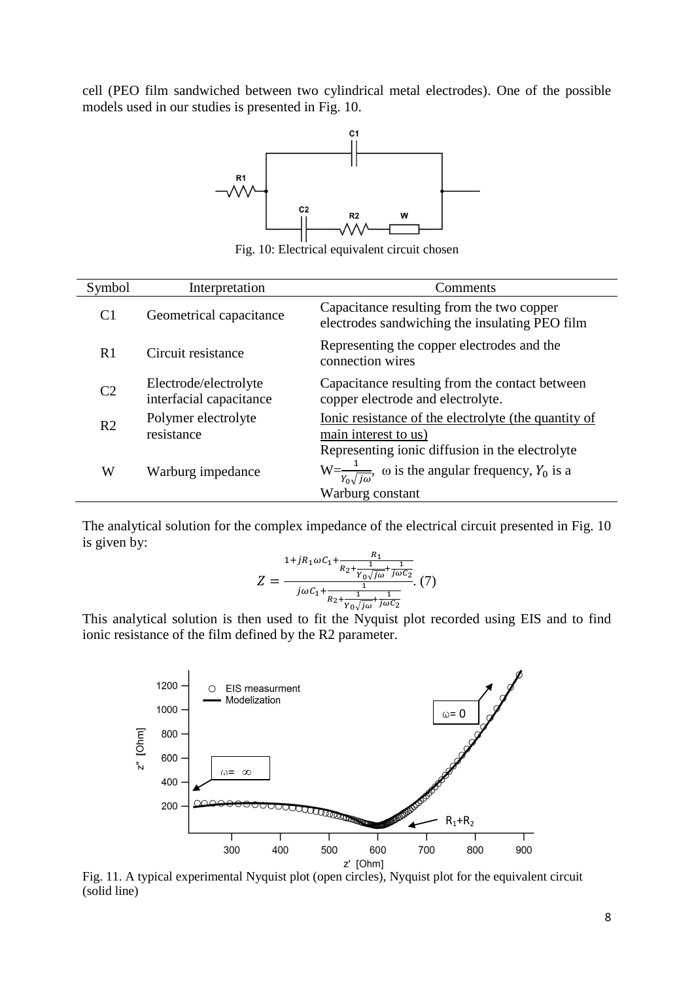cell (PEO film sandwiched between two cylindrical metal electrodes). One of the possible models used in our studies is presented in Fig. 10.



Fig. 10: Electrical equivalent circuit chosen

| Symbol         | Interpretation                                   | Comments                                                                                                                                                  |
|----------------|--------------------------------------------------|-----------------------------------------------------------------------------------------------------------------------------------------------------------|
| C <sub>1</sub> | Geometrical capacitance                          | Capacitance resulting from the two copper<br>electrodes sandwiching the insulating PEO film                                                               |
| R1             | Circuit resistance                               | Representing the copper electrodes and the<br>connection wires                                                                                            |
| C <sub>2</sub> | Electrode/electrolyte<br>interfacial capacitance | Capacitance resulting from the contact between<br>copper electrode and electrolyte.                                                                       |
| R <sub>2</sub> | Polymer electrolyte<br>resistance                | Ionic resistance of the electrolyte (the quantity of<br>main interest to us)                                                                              |
| W              | Warburg impedance                                | Representing ionic diffusion in the electrolyte<br>$W = \frac{1}{Y_0 \sqrt{j\omega}}$ , $\omega$ is the angular frequency, $Y_0$ is a<br>Warburg constant |

The analytical solution for the complex impedance of the electrical circuit presented in Fig. 10 is given by:

$$
Z = \frac{1 + jR_1\omega C_1 + \frac{R_1}{R_2 + \frac{1}{\gamma_0\sqrt{j\omega}} + \frac{1}{j\omega C_2}}}{j\omega C_1 + \frac{1}{R_2 + \frac{1}{\gamma_0\sqrt{j\omega}} + \frac{1}{j\omega C_2}}}
$$
(7)

This analytical solution is then used to fit the Nyquist plot recorded using EIS and to find ionic resistance of the film defined by the R2 parameter.



Fig. 11. A typical experimental Nyquist plot (open circles), Nyquist plot for the equivalent circuit (solid line)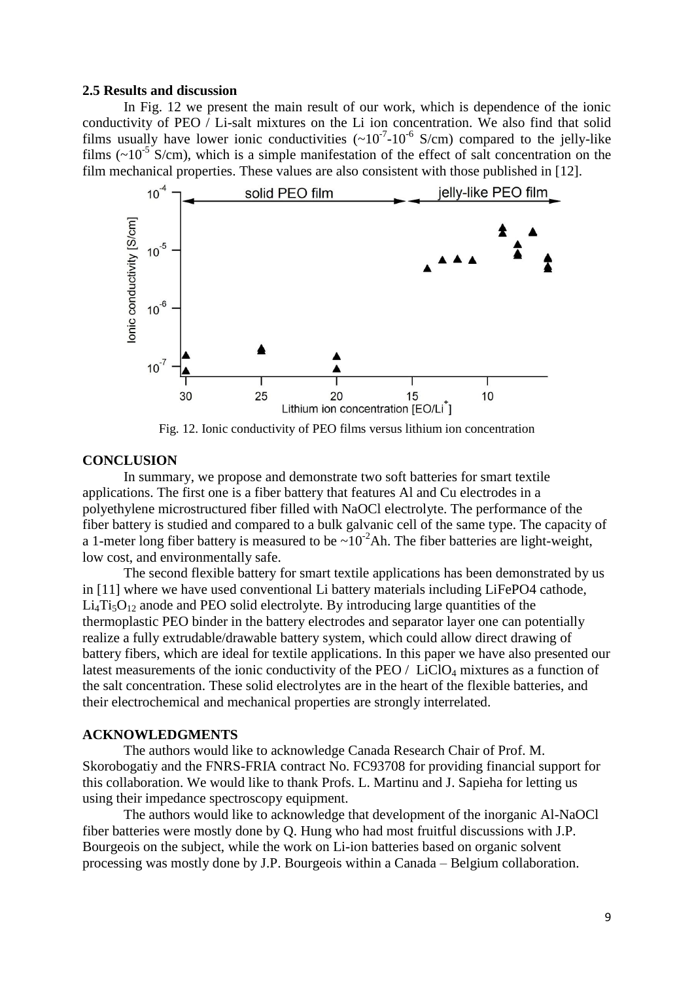#### **2.5 Results and discussion**

In Fig. 12 we present the main result of our work, which is dependence of the ionic conductivity of PEO / Li-salt mixtures on the Li ion concentration. We also find that solid films usually have lower ionic conductivities  $({\sim}10^{-7}$ -10<sup>-6</sup> S/cm) compared to the jelly-like films  $({\sim}10^{-5} \text{ S/cm})$ , which is a simple manifestation of the effect of salt concentration on the film mechanical properties. These values are also consistent with those published in [12].



Fig. 12. Ionic conductivity of PEO films versus lithium ion concentration

## **CONCLUSION**

In summary, we propose and demonstrate two soft batteries for smart textile applications. The first one is a fiber battery that features Al and Cu electrodes in a polyethylene microstructured fiber filled with NaOCl electrolyte. The performance of the fiber battery is studied and compared to a bulk galvanic cell of the same type. The capacity of a 1-meter long fiber battery is measured to be  $\sim 10^{-2}$ Ah. The fiber batteries are light-weight, low cost, and environmentally safe.

The second flexible battery for smart textile applications has been demonstrated by us in [11] where we have used conventional Li battery materials including LiFePO4 cathode,  $Li<sub>4</sub>Ti<sub>5</sub>O<sub>12</sub>$  anode and PEO solid electrolyte. By introducing large quantities of the thermoplastic PEO binder in the battery electrodes and separator layer one can potentially realize a fully extrudable/drawable battery system, which could allow direct drawing of battery fibers, which are ideal for textile applications. In this paper we have also presented our latest measurements of the ionic conductivity of the PEO /  $LiClO<sub>4</sub>$  mixtures as a function of the salt concentration. These solid electrolytes are in the heart of the flexible batteries, and their electrochemical and mechanical properties are strongly interrelated.

## **ACKNOWLEDGMENTS**

The authors would like to acknowledge Canada Research Chair of Prof. M. Skorobogatiy and the FNRS-FRIA contract No. FC93708 for providing financial support for this collaboration. We would like to thank Profs. L. Martinu and J. Sapieha for letting us using their impedance spectroscopy equipment.

The authors would like to acknowledge that development of the inorganic Al-NaOCl fiber batteries were mostly done by Q. Hung who had most fruitful discussions with J.P. Bourgeois on the subject, while the work on Li-ion batteries based on organic solvent processing was mostly done by J.P. Bourgeois within a Canada – Belgium collaboration.